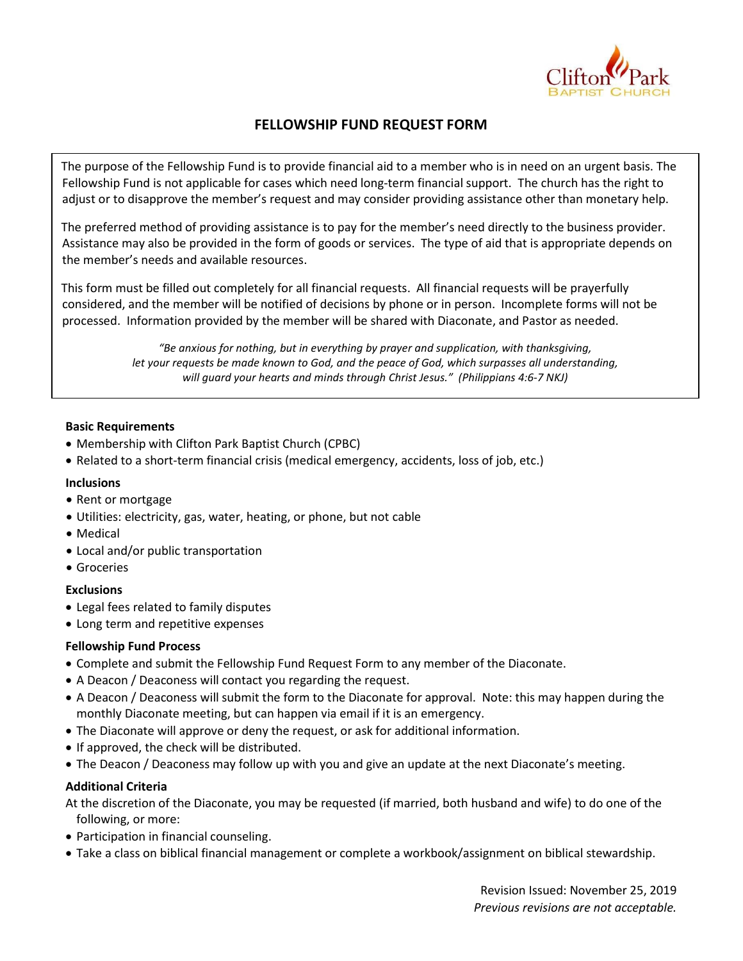

# FELLOWSHIP FUND REQUEST FORM

The purpose of the Fellowship Fund is to provide financial aid to a member who is in need on an urgent basis. The Fellowship Fund is not applicable for cases which need long-term financial support. The church has the right to adjust or to disapprove the member's request and may consider providing assistance other than monetary help.

The preferred method of providing assistance is to pay for the member's need directly to the business provider. Assistance may also be provided in the form of goods or services. The type of aid that is appropriate depends on the member's needs and available resources.

This form must be filled out completely for all financial requests. All financial requests will be prayerfully considered, and the member will be notified of decisions by phone or in person. Incomplete forms will not be processed. Information provided by the member will be shared with Diaconate, and Pastor as needed.

> "Be anxious for nothing, but in everything by prayer and supplication, with thanksgiving, let your requests be made known to God, and the peace of God, which surpasses all understanding, will guard your hearts and minds through Christ Jesus." (Philippians 4:6-7 NKJ)

### Basic Requirements

- Membership with Clifton Park Baptist Church (CPBC)
- Related to a short-term financial crisis (medical emergency, accidents, loss of job, etc.)

#### **Inclusions**

- Rent or mortgage
- Utilities: electricity, gas, water, heating, or phone, but not cable
- Medical
- Local and/or public transportation
- **•** Groceries

### **Exclusions**

- Legal fees related to family disputes
- Long term and repetitive expenses

### Fellowship Fund Process

- Complete and submit the Fellowship Fund Request Form to any member of the Diaconate.
- A Deacon / Deaconess will contact you regarding the request.
- A Deacon / Deaconess will submit the form to the Diaconate for approval. Note: this may happen during the monthly Diaconate meeting, but can happen via email if it is an emergency.
- The Diaconate will approve or deny the request, or ask for additional information.
- If approved, the check will be distributed.
- The Deacon / Deaconess may follow up with you and give an update at the next Diaconate's meeting.

#### Additional Criteria

At the discretion of the Diaconate, you may be requested (if married, both husband and wife) to do one of the following, or more:

- Participation in financial counseling.
- Take a class on biblical financial management or complete a workbook/assignment on biblical stewardship.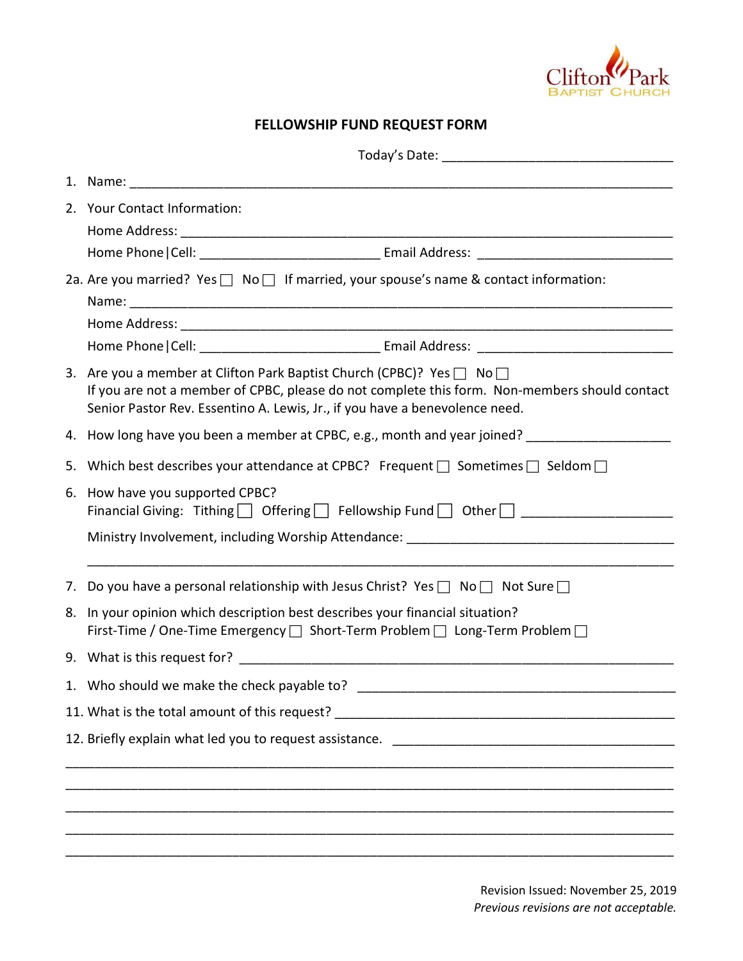

# FELLOWSHIP FUND REQUEST FORM

|    | 1. Name: 1. 2008. 2008. 2010. 2010. 2010. 2010. 2010. 2010. 2011. 2012. 2014. 2016. 2017. 2018. 2019. 2019. 20<br>2010. 2012. 2012. 2012. 2012. 2013. 2014. 2014. 2014. 2014. 2014. 2014. 2014. 2014. 2014. 2014. 2014. 2014. 20                                |  |
|----|-----------------------------------------------------------------------------------------------------------------------------------------------------------------------------------------------------------------------------------------------------------------|--|
|    | 2. Your Contact Information:                                                                                                                                                                                                                                    |  |
|    |                                                                                                                                                                                                                                                                 |  |
|    | 2a. Are you married? Yes □ No □ If married, your spouse's name & contact information:                                                                                                                                                                           |  |
|    |                                                                                                                                                                                                                                                                 |  |
|    |                                                                                                                                                                                                                                                                 |  |
|    | 3. Are you a member at Clifton Park Baptist Church (CPBC)? Yes $\Box$ No $\Box$<br>If you are not a member of CPBC, please do not complete this form. Non-members should contact<br>Senior Pastor Rev. Essentino A. Lewis, Jr., if you have a benevolence need. |  |
|    | 4. How long have you been a member at CPBC, e.g., month and year joined?                                                                                                                                                                                        |  |
|    | 5. Which best describes your attendance at CPBC? Frequent $\Box$ Sometimes $\Box$ Seldom $\Box$                                                                                                                                                                 |  |
|    | 6. How have you supported CPBC?                                                                                                                                                                                                                                 |  |
|    |                                                                                                                                                                                                                                                                 |  |
|    | 7. Do you have a personal relationship with Jesus Christ? Yes $\Box$ No $\Box$ Not Sure $\Box$                                                                                                                                                                  |  |
| 8. | In your opinion which description best describes your financial situation?<br>First-Time / One-Time Emergency □ Short-Term Problem □ Long-Term Problem □                                                                                                        |  |
|    |                                                                                                                                                                                                                                                                 |  |
|    | 1. Who should we make the check payable to?                                                                                                                                                                                                                     |  |
|    | 11. What is the total amount of this request? __________________________________                                                                                                                                                                                |  |
|    |                                                                                                                                                                                                                                                                 |  |
|    |                                                                                                                                                                                                                                                                 |  |
|    |                                                                                                                                                                                                                                                                 |  |
|    |                                                                                                                                                                                                                                                                 |  |
|    |                                                                                                                                                                                                                                                                 |  |